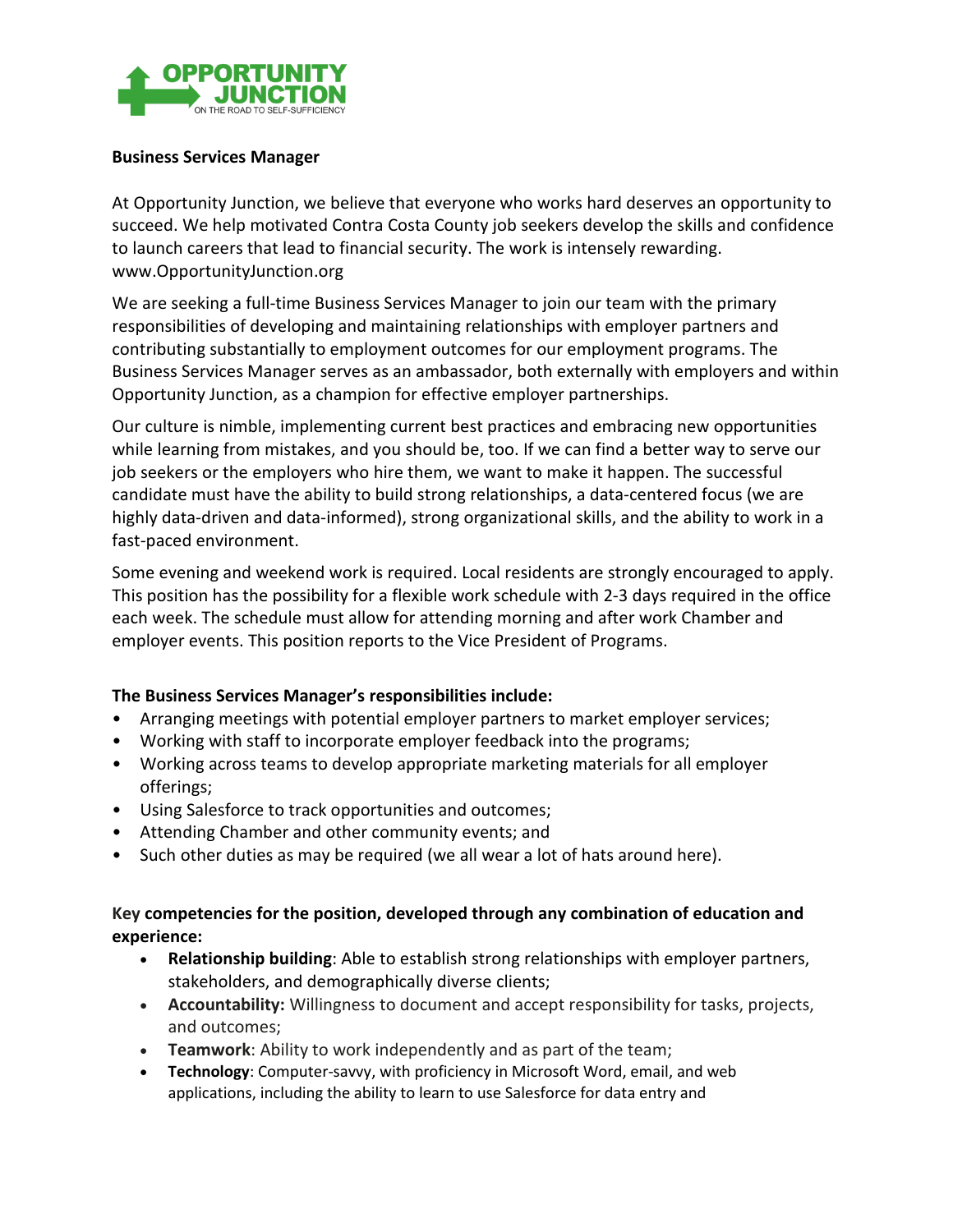

## **Business Services Manager**

At Opportunity Junction, we believe that everyone who works hard deserves an opportunity to succeed. We help motivated Contra Costa County job seekers develop the skills and confidence to launch careers that lead to financial security. The work is intensely rewarding. www.OpportunityJunction.org

We are seeking a full-time Business Services Manager to join our team with the primary responsibilities of developing and maintaining relationships with employer partners and contributing substantially to employment outcomes for our employment programs. The Business Services Manager serves as an ambassador, both externally with employers and within Opportunity Junction, as a champion for effective employer partnerships.

Our culture is nimble, implementing current best practices and embracing new opportunities while learning from mistakes, and you should be, too. If we can find a better way to serve our job seekers or the employers who hire them, we want to make it happen. The successful candidate must have the ability to build strong relationships, a data-centered focus (we are highly data-driven and data-informed), strong organizational skills, and the ability to work in a fast-paced environment.

Some evening and weekend work is required. Local residents are strongly encouraged to apply. This position has the possibility for a flexible work schedule with 2-3 days required in the office each week. The schedule must allow for attending morning and after work Chamber and employer events. This position reports to the Vice President of Programs.

## **The Business Services Manager's responsibilities include:**

- Arranging meetings with potential employer partners to market employer services;
- Working with staff to incorporate employer feedback into the programs;
- Working across teams to develop appropriate marketing materials for all employer offerings;
- Using Salesforce to track opportunities and outcomes;
- Attending Chamber and other community events; and
- Such other duties as may be required (we all wear a lot of hats around here).

## **Key competencies for the position, developed through any combination of education and experience:**

- **Relationship building**: Able to establish strong relationships with employer partners, stakeholders, and demographically diverse clients;
- **Accountability:** Willingness to document and accept responsibility for tasks, projects, and outcomes;
- **Teamwork**: Ability to work independently and as part of the team;
- **Technology**: Computer-savvy, with proficiency in Microsoft Word, email, and web applications, including the ability to learn to use Salesforce for data entry and